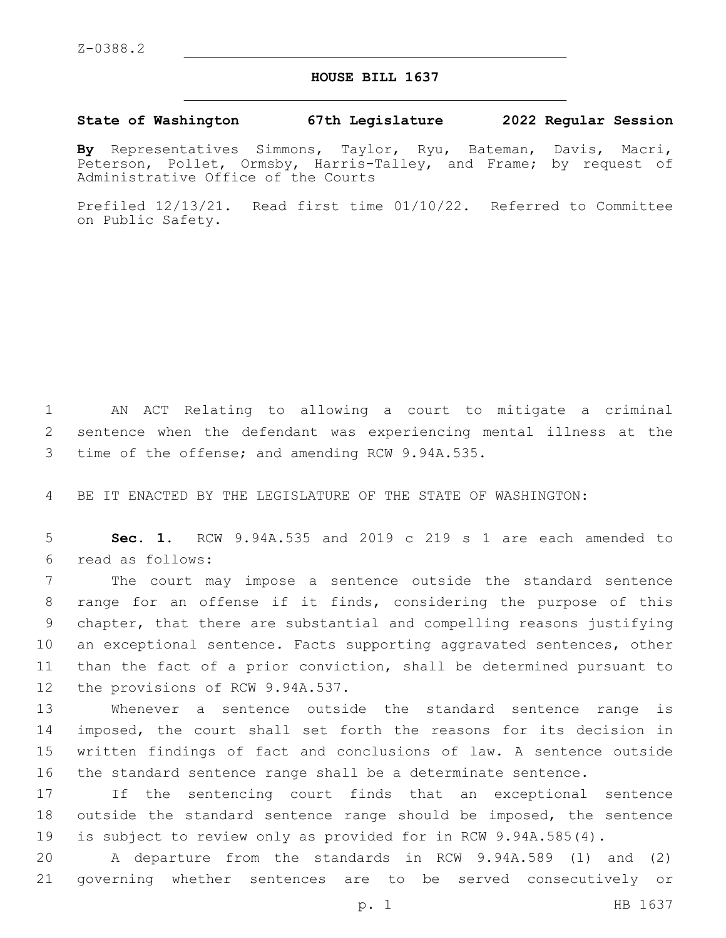## **HOUSE BILL 1637**

## **State of Washington 67th Legislature 2022 Regular Session**

**By** Representatives Simmons, Taylor, Ryu, Bateman, Davis, Macri, Peterson, Pollet, Ormsby, Harris-Talley, and Frame; by request of Administrative Office of the Courts

Prefiled 12/13/21. Read first time 01/10/22. Referred to Committee on Public Safety.

1 AN ACT Relating to allowing a court to mitigate a criminal 2 sentence when the defendant was experiencing mental illness at the 3 time of the offense; and amending RCW 9.94A.535.

4 BE IT ENACTED BY THE LEGISLATURE OF THE STATE OF WASHINGTON:

5 **Sec. 1.** RCW 9.94A.535 and 2019 c 219 s 1 are each amended to read as follows:6

 The court may impose a sentence outside the standard sentence range for an offense if it finds, considering the purpose of this chapter, that there are substantial and compelling reasons justifying 10 an exceptional sentence. Facts supporting aggravated sentences, other than the fact of a prior conviction, shall be determined pursuant to 12 the provisions of RCW 9.94A.537.

 Whenever a sentence outside the standard sentence range is imposed, the court shall set forth the reasons for its decision in written findings of fact and conclusions of law. A sentence outside the standard sentence range shall be a determinate sentence.

17 If the sentencing court finds that an exceptional sentence 18 outside the standard sentence range should be imposed, the sentence 19 is subject to review only as provided for in RCW 9.94A.585(4).

20 A departure from the standards in RCW 9.94A.589 (1) and (2) 21 governing whether sentences are to be served consecutively or

p. 1 HB 1637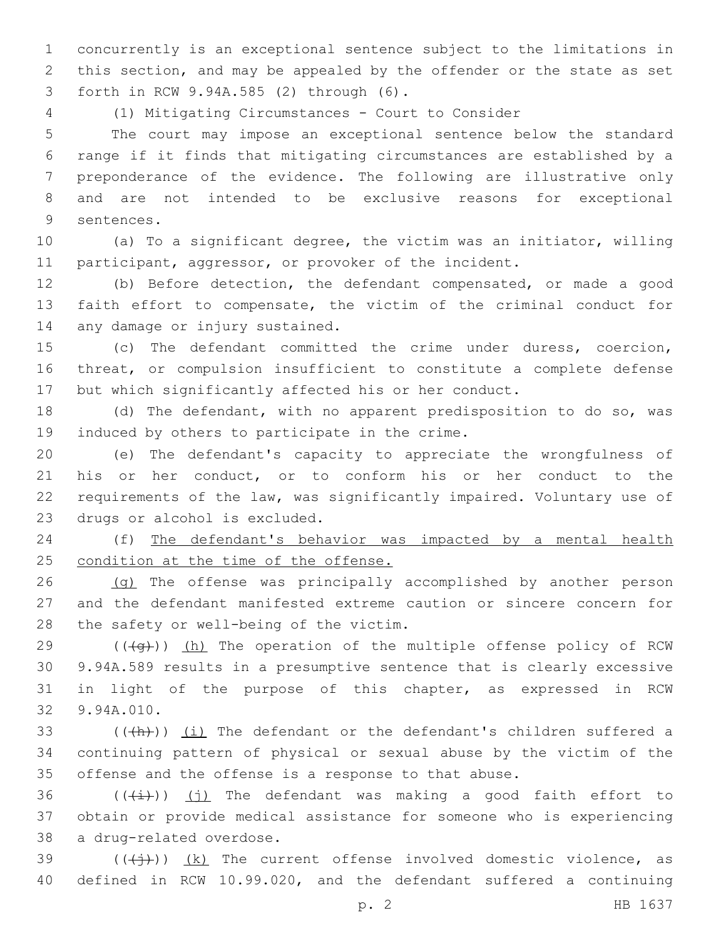concurrently is an exceptional sentence subject to the limitations in this section, and may be appealed by the offender or the state as set forth in RCW 9.94A.585 (2) through (6).3

(1) Mitigating Circumstances - Court to Consider

 The court may impose an exceptional sentence below the standard range if it finds that mitigating circumstances are established by a preponderance of the evidence. The following are illustrative only and are not intended to be exclusive reasons for exceptional 9 sentences.

 (a) To a significant degree, the victim was an initiator, willing 11 participant, aggressor, or provoker of the incident.

 (b) Before detection, the defendant compensated, or made a good faith effort to compensate, the victim of the criminal conduct for 14 any damage or injury sustained.

 (c) The defendant committed the crime under duress, coercion, threat, or compulsion insufficient to constitute a complete defense but which significantly affected his or her conduct.

 (d) The defendant, with no apparent predisposition to do so, was 19 induced by others to participate in the crime.

 (e) The defendant's capacity to appreciate the wrongfulness of his or her conduct, or to conform his or her conduct to the requirements of the law, was significantly impaired. Voluntary use of 23 drugs or alcohol is excluded.

 (f) The defendant's behavior was impacted by a mental health 25 condition at the time of the offense.

26 (g) The offense was principally accomplished by another person and the defendant manifested extreme caution or sincere concern for 28 the safety or well-being of the victim.

 $((\langle q\rangle))$  (h) The operation of the multiple offense policy of RCW 9.94A.589 results in a presumptive sentence that is clearly excessive in light of the purpose of this chapter, as expressed in RCW 9.94A.010.32

 $($   $($   $($   $($   $))$   $($   $)$   $($   $)$   $)$  The defendant or the defendant's children suffered a continuing pattern of physical or sexual abuse by the victim of the offense and the offense is a response to that abuse.

36  $((\overrightarrow{i}))$  (j) The defendant was making a good faith effort to obtain or provide medical assistance for someone who is experiencing 38 a drug-related overdose.

39  $((\n $(\n $(\n $\overline{+})$ \n)  
\n $(k)$ \nThe current of fense involved domestic violence, as$$$ defined in RCW 10.99.020, and the defendant suffered a continuing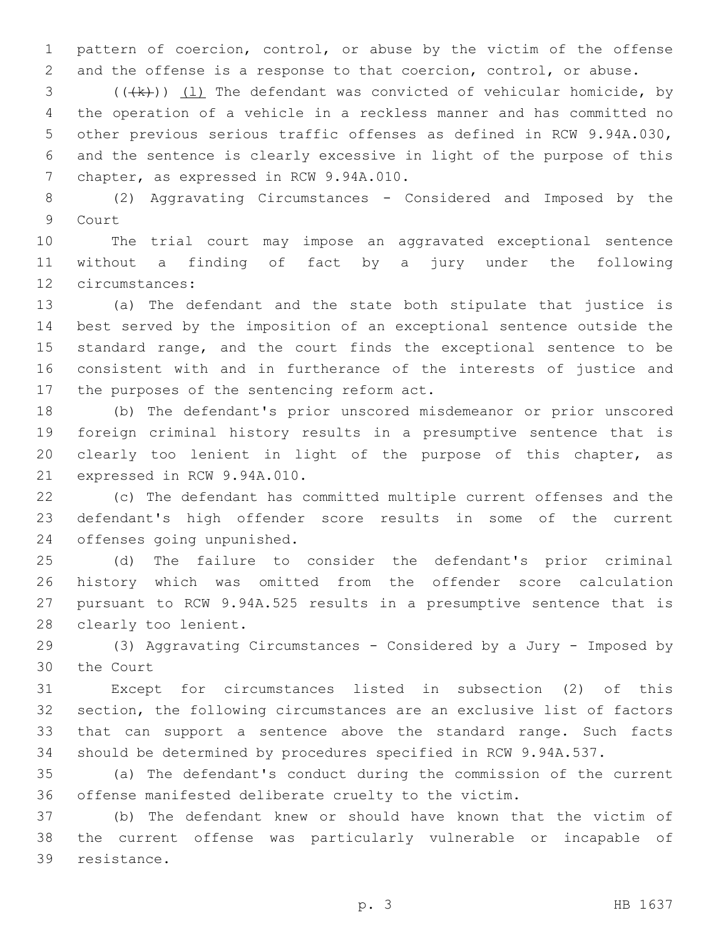pattern of coercion, control, or abuse by the victim of the offense and the offense is a response to that coercion, control, or abuse.

 (( $(k)$ )) (1) The defendant was convicted of vehicular homicide, by the operation of a vehicle in a reckless manner and has committed no other previous serious traffic offenses as defined in RCW 9.94A.030, and the sentence is clearly excessive in light of the purpose of this 7 chapter, as expressed in RCW 9.94A.010.

 (2) Aggravating Circumstances - Considered and Imposed by the 9 Court

 The trial court may impose an aggravated exceptional sentence without a finding of fact by a jury under the following 12 circumstances:

 (a) The defendant and the state both stipulate that justice is best served by the imposition of an exceptional sentence outside the standard range, and the court finds the exceptional sentence to be consistent with and in furtherance of the interests of justice and 17 the purposes of the sentencing reform act.

 (b) The defendant's prior unscored misdemeanor or prior unscored foreign criminal history results in a presumptive sentence that is clearly too lenient in light of the purpose of this chapter, as 21 expressed in RCW 9.94A.010.

 (c) The defendant has committed multiple current offenses and the defendant's high offender score results in some of the current 24 offenses going unpunished.

 (d) The failure to consider the defendant's prior criminal history which was omitted from the offender score calculation pursuant to RCW 9.94A.525 results in a presumptive sentence that is 28 clearly too lenient.

 (3) Aggravating Circumstances - Considered by a Jury - Imposed by 30 the Court

 Except for circumstances listed in subsection (2) of this section, the following circumstances are an exclusive list of factors that can support a sentence above the standard range. Such facts should be determined by procedures specified in RCW 9.94A.537.

 (a) The defendant's conduct during the commission of the current offense manifested deliberate cruelty to the victim.

 (b) The defendant knew or should have known that the victim of the current offense was particularly vulnerable or incapable of 39 resistance.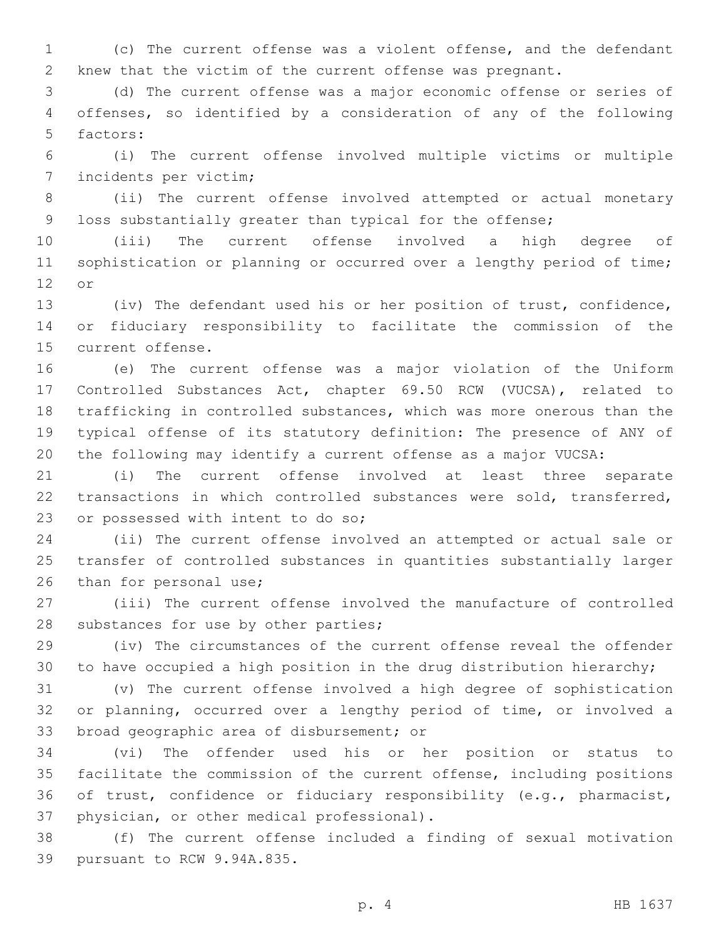(c) The current offense was a violent offense, and the defendant knew that the victim of the current offense was pregnant.

 (d) The current offense was a major economic offense or series of offenses, so identified by a consideration of any of the following 5 factors:

 (i) The current offense involved multiple victims or multiple 7 incidents per victim;

 (ii) The current offense involved attempted or actual monetary loss substantially greater than typical for the offense;

 (iii) The current offense involved a high degree of 11 sophistication or planning or occurred over a lengthy period of time; 12 or

 (iv) The defendant used his or her position of trust, confidence, or fiduciary responsibility to facilitate the commission of the 15 current offense.

 (e) The current offense was a major violation of the Uniform Controlled Substances Act, chapter 69.50 RCW (VUCSA), related to trafficking in controlled substances, which was more onerous than the typical offense of its statutory definition: The presence of ANY of the following may identify a current offense as a major VUCSA:

 (i) The current offense involved at least three separate transactions in which controlled substances were sold, transferred, 23 or possessed with intent to do so;

 (ii) The current offense involved an attempted or actual sale or transfer of controlled substances in quantities substantially larger 26 than for personal use;

 (iii) The current offense involved the manufacture of controlled 28 substances for use by other parties;

 (iv) The circumstances of the current offense reveal the offender to have occupied a high position in the drug distribution hierarchy;

 (v) The current offense involved a high degree of sophistication or planning, occurred over a lengthy period of time, or involved a 33 broad geographic area of disbursement; or

 (vi) The offender used his or her position or status to facilitate the commission of the current offense, including positions of trust, confidence or fiduciary responsibility (e.g., pharmacist, 37 physician, or other medical professional).

 (f) The current offense included a finding of sexual motivation 39 pursuant to RCW 9.94A.835.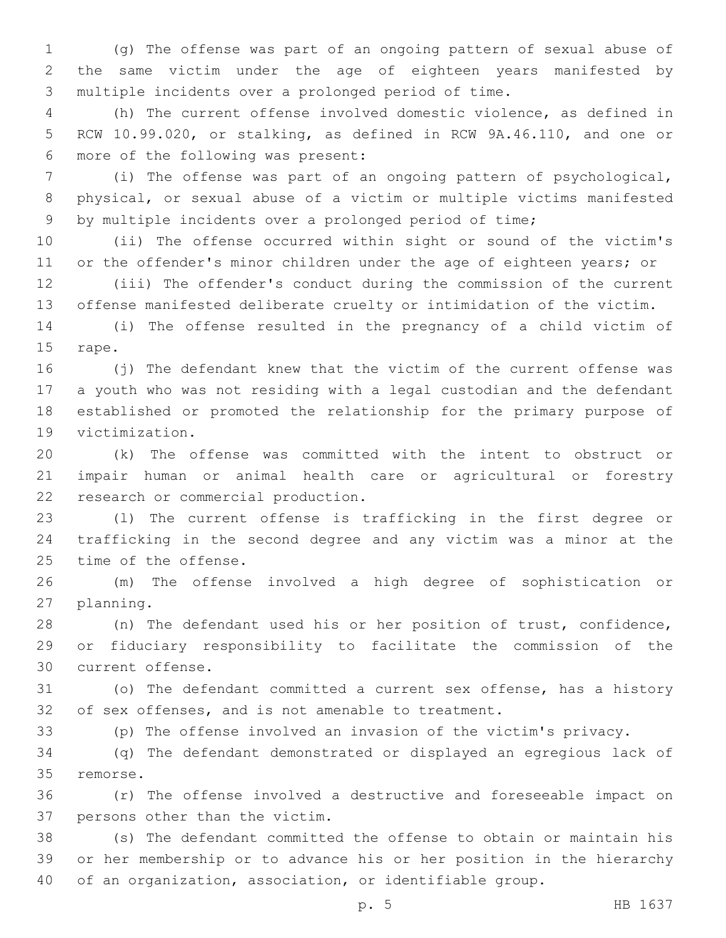(g) The offense was part of an ongoing pattern of sexual abuse of the same victim under the age of eighteen years manifested by multiple incidents over a prolonged period of time.

 (h) The current offense involved domestic violence, as defined in RCW 10.99.020, or stalking, as defined in RCW 9A.46.110, and one or 6 more of the following was present:

 (i) The offense was part of an ongoing pattern of psychological, physical, or sexual abuse of a victim or multiple victims manifested by multiple incidents over a prolonged period of time;

 (ii) The offense occurred within sight or sound of the victim's 11 or the offender's minor children under the age of eighteen years; or

 (iii) The offender's conduct during the commission of the current offense manifested deliberate cruelty or intimidation of the victim.

 (i) The offense resulted in the pregnancy of a child victim of 15 rape.

 (j) The defendant knew that the victim of the current offense was a youth who was not residing with a legal custodian and the defendant established or promoted the relationship for the primary purpose of 19 victimization.

 (k) The offense was committed with the intent to obstruct or impair human or animal health care or agricultural or forestry 22 research or commercial production.

 (l) The current offense is trafficking in the first degree or trafficking in the second degree and any victim was a minor at the 25 time of the offense.

 (m) The offense involved a high degree of sophistication or 27 planning.

 (n) The defendant used his or her position of trust, confidence, or fiduciary responsibility to facilitate the commission of the 30 current offense.

 (o) The defendant committed a current sex offense, has a history of sex offenses, and is not amenable to treatment.

(p) The offense involved an invasion of the victim's privacy.

 (q) The defendant demonstrated or displayed an egregious lack of 35 remorse.

 (r) The offense involved a destructive and foreseeable impact on 37 persons other than the victim.

 (s) The defendant committed the offense to obtain or maintain his or her membership or to advance his or her position in the hierarchy of an organization, association, or identifiable group.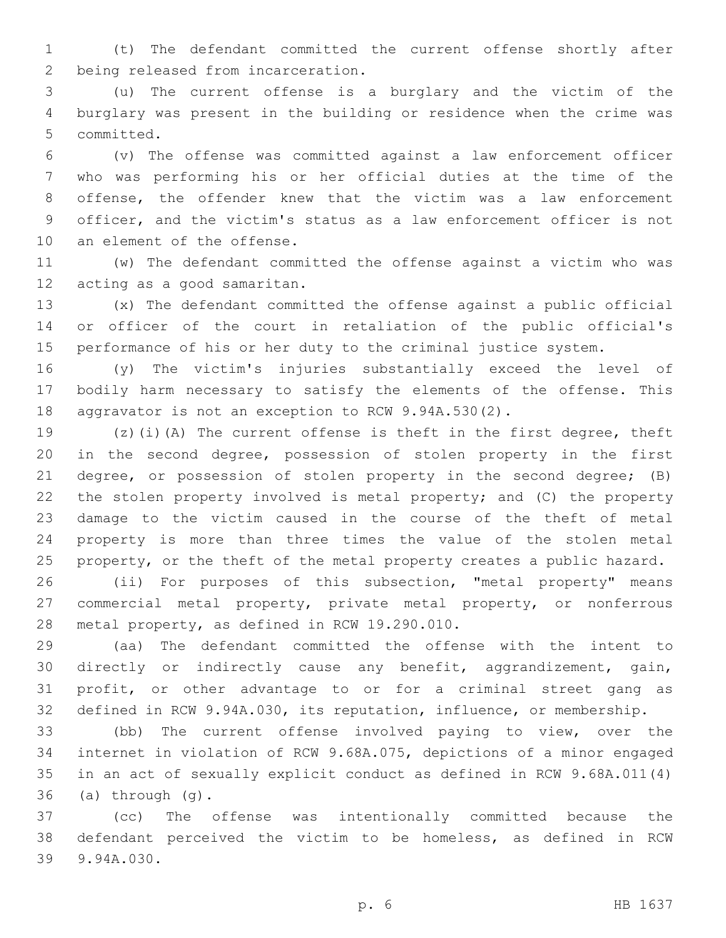(t) The defendant committed the current offense shortly after 2 being released from incarceration.

 (u) The current offense is a burglary and the victim of the burglary was present in the building or residence when the crime was 5 committed.

 (v) The offense was committed against a law enforcement officer who was performing his or her official duties at the time of the offense, the offender knew that the victim was a law enforcement officer, and the victim's status as a law enforcement officer is not 10 an element of the offense.

 (w) The defendant committed the offense against a victim who was 12 acting as a good samaritan.

 (x) The defendant committed the offense against a public official or officer of the court in retaliation of the public official's performance of his or her duty to the criminal justice system.

 (y) The victim's injuries substantially exceed the level of bodily harm necessary to satisfy the elements of the offense. This aggravator is not an exception to RCW 9.94A.530(2).

 (z)(i)(A) The current offense is theft in the first degree, theft in the second degree, possession of stolen property in the first degree, or possession of stolen property in the second degree; (B) the stolen property involved is metal property; and (C) the property damage to the victim caused in the course of the theft of metal property is more than three times the value of the stolen metal 25 property, or the theft of the metal property creates a public hazard.

 (ii) For purposes of this subsection, "metal property" means commercial metal property, private metal property, or nonferrous 28 metal property, as defined in RCW 19.290.010.

 (aa) The defendant committed the offense with the intent to directly or indirectly cause any benefit, aggrandizement, gain, profit, or other advantage to or for a criminal street gang as defined in RCW 9.94A.030, its reputation, influence, or membership.

 (bb) The current offense involved paying to view, over the internet in violation of RCW 9.68A.075, depictions of a minor engaged in an act of sexually explicit conduct as defined in RCW 9.68A.011(4) (a) through  $(q)$ .

 (cc) The offense was intentionally committed because the defendant perceived the victim to be homeless, as defined in RCW 39 9.94A.030.